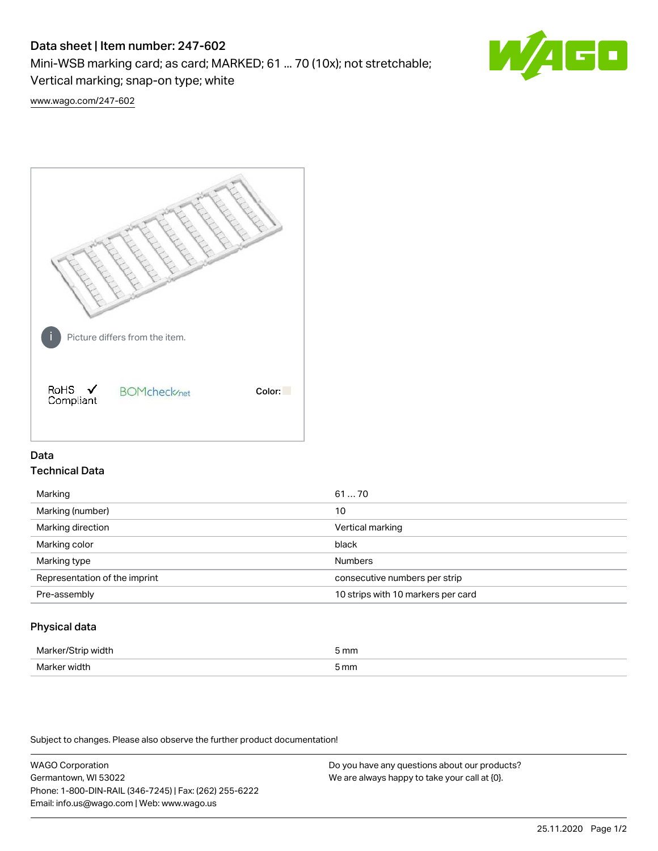# Data sheet | Item number: 247-602

Mini-WSB marking card; as card; MARKED; 61 ... 70 (10x); not stretchable;

Vertical marking; snap-on type; white

60

[www.wago.com/247-602](http://www.wago.com/247-602)



## Data Technical Data

| Marking                       | 6170                               |
|-------------------------------|------------------------------------|
| Marking (number)              | 10                                 |
| Marking direction             | Vertical marking                   |
| Marking color                 | black                              |
| Marking type                  | <b>Numbers</b>                     |
| Representation of the imprint | consecutive numbers per strip      |
| Pre-assembly                  | 10 strips with 10 markers per card |
|                               |                                    |

## Physical data

| Marker<br><b>WINTI</b><br>י | 5 mm |
|-----------------------------|------|
| Marker width                | 5 mm |

Subject to changes. Please also observe the further product documentation!

WAGO Corporation Germantown, WI 53022 Phone: 1-800-DIN-RAIL (346-7245) | Fax: (262) 255-6222 Email: info.us@wago.com | Web: www.wago.us Do you have any questions about our products? We are always happy to take your call at {0}.